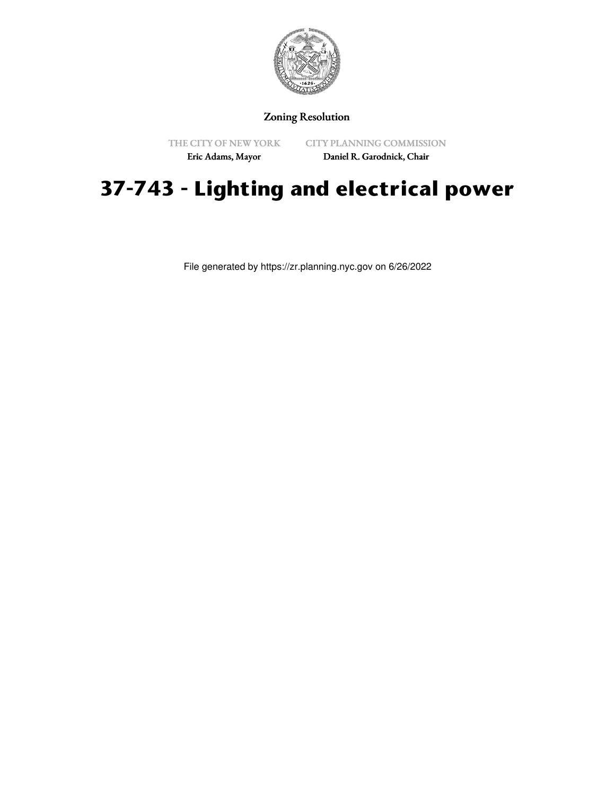

## Zoning Resolution

THE CITY OF NEW YORK

CITY PLANNING COMMISSION

Eric Adams, Mayor

Daniel R. Garodnick, Chair

## **37-743 - Lighting and electrical power**

File generated by https://zr.planning.nyc.gov on 6/26/2022